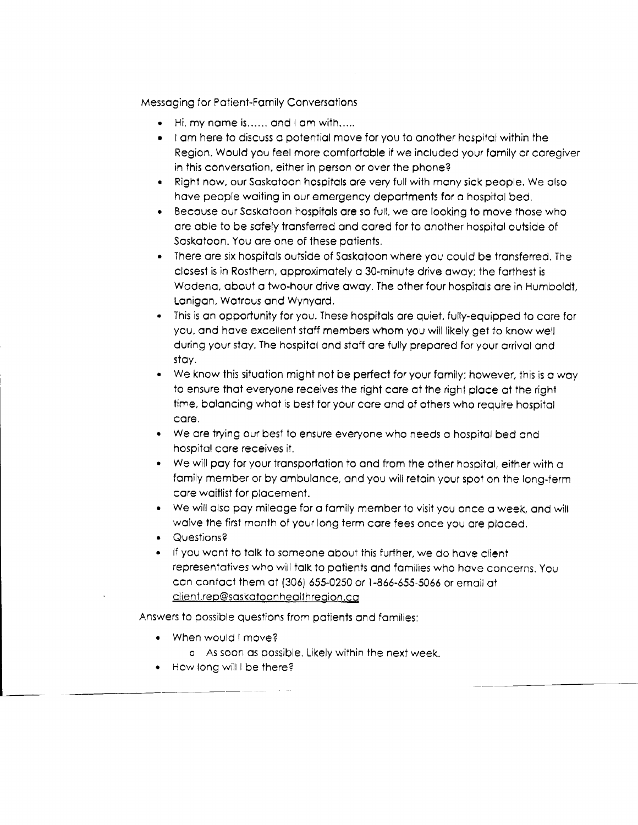Messaging for Patient-Family Conversations

- . Hi, my nome is...... ond I om with.,...
- r I om here to discuss opotentiol move for you to onother hospitol wiihin the Region. Would you feel more comfortable if we included your family or caregiver in this conversation, either in person or over the phone?
- . Righl now. our Soskotoon hospitols ore very full with mony sick people. We olso have people waiting in our emergency departments for a hospital bed.
- . Becouse our Soskotoon hospitols ore so full, we ore looking to move those who ore oble to be sofely tronsferred ond cored for to onother hospiiol outside ot Soskotoon. You ore one of these potients.
- . There ore six hospitols outside of Soskoloon where you could be tronsferred. The closesl is in Rosthern, cpproximoteiy o 3O-minule drive owoy; the forlhest is Wadena, about a two-hour drive away. The other four hospitals are in Humboldt, Lonigon, Wolrous ond Wynyord.
- . This is on opportunity for you. Ihese hospilols ore quiet, fully-equipped 'io core for you, and have excellent staff members whom you will likely get to know well during your stoy. The hospitol ond stoff ore fully prepored for your orrivol ond stoy.
- . we know this situotion might nol be perfect for your fomily: however, this is o woy to ensure that everyone receives the right care at the right place at the right time, bolancing whot is best for your care and of others who require hospital care.
- . We ore trying our besf to ensure everyone who needs o hospitoi bed ond hospital care receives it.
- . We will pay for your transportation to and from the other hospital, either with  $\alpha$ family member or by ambulance, and you will retain your spot on the long-term core woitlist for plocement.
- We will also pay mileage for a family member to visit you once a week, and will waive the first month of your long term care fees once you are placed.
- . Questions?
- . lf you wont to folk to someone obout this further, we do hove client representatives who will talk to patients and families who have concerns. You con contoci lhem ol (305) 655-0250 or l-866-655-5066 or emoit ot client.rep@saskatoonhealthregion.ca

Answers to possible questions from poiients ond fomilies:

- . When would I move?
	- o As soon os possible. LikeJy within the nexf week.
- How long will I be there?